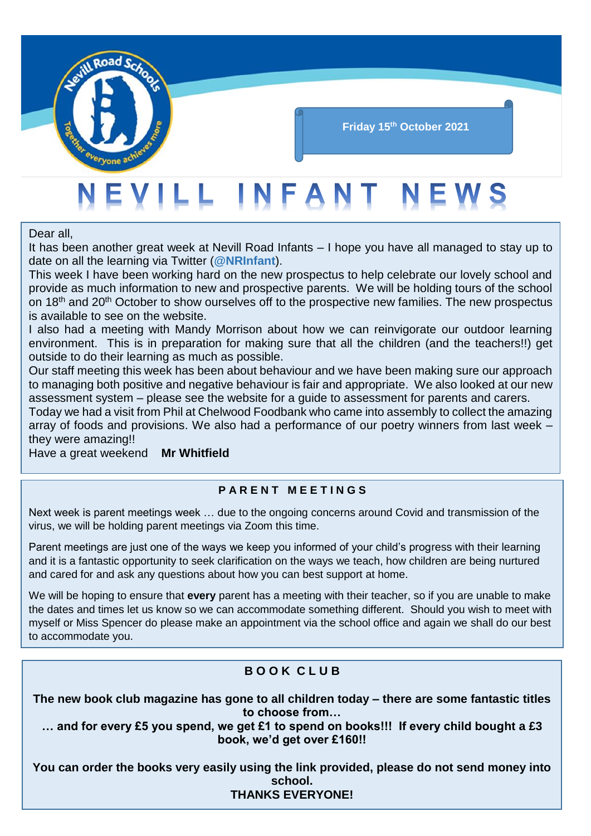

## **Friday 15th October 2021**

# EVILL INFANT NEWS

Dear all,

It has been another great week at Nevill Road Infants – I hope you have all managed to stay up to date on all the learning via Twitter (**@NRInfant**).

This week I have been working hard on the new prospectus to help celebrate our lovely school and provide as much information to new and prospective parents. We will be holding tours of the school on 18<sup>th</sup> and 20<sup>th</sup> October to show ourselves off to the prospective new families. The new prospectus is available to see on the website.

I also had a meeting with Mandy Morrison about how we can reinvigorate our outdoor learning environment. This is in preparation for making sure that all the children (and the teachers!!) get outside to do their learning as much as possible.

Our staff meeting this week has been about behaviour and we have been making sure our approach to managing both positive and negative behaviour is fair and appropriate. We also looked at our new assessment system – please see the website for a guide to assessment for parents and carers.

Today we had a visit from Phil at Chelwood Foodbank who came into assembly to collect the amazing array of foods and provisions. We also had a performance of our poetry winners from last week – they were amazing!!

Have a great weekend **Mr Whitfield**

## **P A R E N T M E E T I N G S**

Next week is parent meetings week … due to the ongoing concerns around Covid and transmission of the virus, we will be holding parent meetings via Zoom this time.

Parent meetings are just one of the ways we keep you informed of your child's progress with their learning and it is a fantastic opportunity to seek clarification on the ways we teach, how children are being nurtured and cared for and ask any questions about how you can best support at home.

We will be hoping to ensure that **every** parent has a meeting with their teacher, so if you are unable to make the dates and times let us know so we can accommodate something different. Should you wish to meet with myself or Miss Spencer do please make an appointment via the school office and again we shall do our best to accommodate you.

# **B O O K C L U B**

**The new book club magazine has gone to all children today – there are some fantastic titles to choose from…** 

**… and for every £5 you spend, we get £1 to spend on books!!! If every child bought a £3 book, we'd get over £160!!**

**You can order the books very easily using the link provided, please do not send money into school. THANKS EVERYONE!**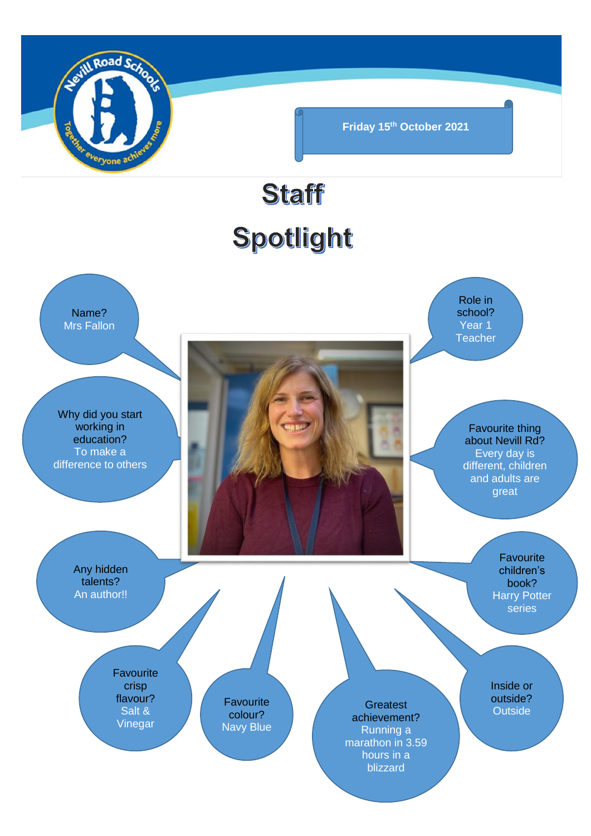

**Friday 15th October 2021**

# Staff Spotlight

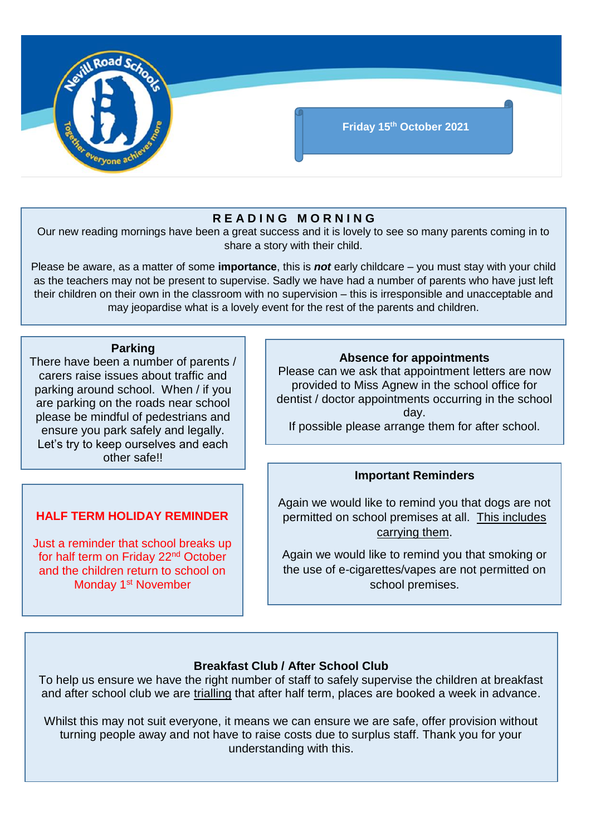

## **R E A D I N G M O R N I N G**

Our new reading mornings have been a great success and it is lovely to see so many parents coming in to share a story with their child.

Please be aware, as a matter of some **importance**, this is *not* early childcare – you must stay with your child as the teachers may not be present to supervise. Sadly we have had a number of parents who have just left their children on their own in the classroom with no supervision – this is irresponsible and unacceptable and may jeopardise what is a lovely event for the rest of the parents and children.

#### **Parking**

There have been a number of parents / carers raise issues about traffic and parking around school. When / if you are parking on the roads near school please be mindful of pedestrians and ensure you park safely and legally. Let's try to keep ourselves and each other safe!!

## **HALF TERM HOLIDAY REMINDER**

Just a reminder that school breaks up for half term on Friday 22<sup>nd</sup> October and the children return to school on Monday 1<sup>st</sup> November

### **Absence for appointments**

Please can we ask that appointment letters are now provided to Miss Agnew in the school office for dentist / doctor appointments occurring in the school day.

If possible please arrange them for after school.

#### **Important Reminders**

Again we would like to remind you that dogs are not permitted on school premises at all. This includes carrying them.

Again we would like to remind you that smoking or the use of e-cigarettes/vapes are not permitted on school premises.

#### **Breakfast Club / After School Club**

To help us ensure we have the right number of staff to safely supervise the children at breakfast and after school club we are trialling that after half term, places are booked a week in advance.

Whilst this may not suit everyone, it means we can ensure we are safe, offer provision without turning people away and not have to raise costs due to surplus staff. Thank you for your understanding with this.